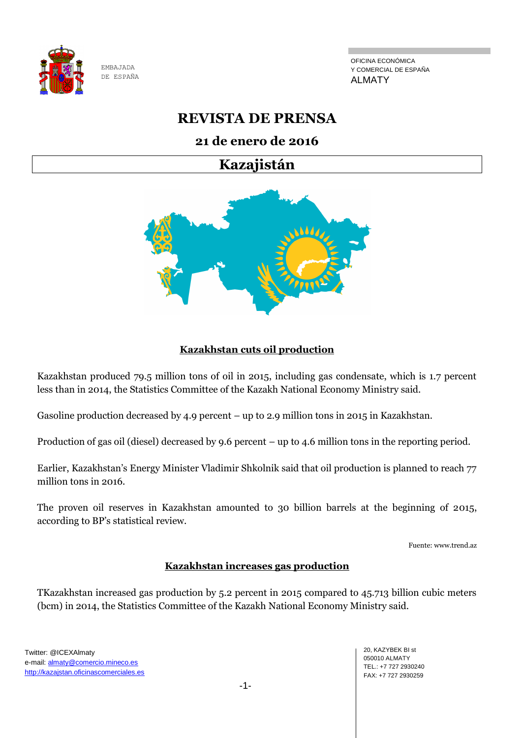

OFICINA ECONÓMICA Y COMERCIAL DE ESPAÑA ALMATY

# **REVISTA DE PRENSA**

# **21 de enero de 2016**

# **Kazajistán**



## **Kazakhstan cuts oil production**

Kazakhstan produced 79.5 million tons of oil in 2015, including gas condensate, which is 1.7 percent less than in 2014, the Statistics Committee of the Kazakh National Economy Ministry said.

Gasoline production decreased by 4.9 percent – up to 2.9 million tons in 2015 in Kazakhstan.

Production of gas oil (diesel) decreased by 9.6 percent – up to 4.6 million tons in the reporting period.

Earlier, Kazakhstan's Energy Minister Vladimir Shkolnik said that oil production is planned to reach 77 million tons in 2016.

The proven oil reserves in Kazakhstan amounted to 30 billion barrels at the beginning of 2015, according to BP's statistical review.

Fuente: www.trend.az

## **Kazakhstan increases gas production**

TKazakhstan increased gas production by 5.2 percent in 2015 compared to 45.713 billion cubic meters (bcm) in 2014, the Statistics Committee of the Kazakh National Economy Ministry said.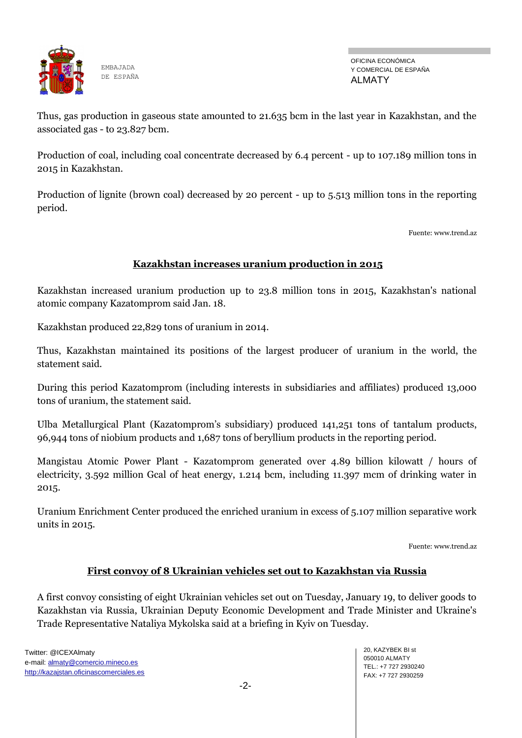

OFICINA ECONÓMICA Y COMERCIAL DE ESPAÑA ALMATY

Thus, gas production in gaseous state amounted to 21.635 bcm in the last year in Kazakhstan, and the associated gas - to 23.827 bcm.

Production of coal, including coal concentrate decreased by 6.4 percent - up to 107.189 million tons in 2015 in Kazakhstan.

Production of lignite (brown coal) decreased by 20 percent - up to 5.513 million tons in the reporting period.

Fuente: www.trend.az

# **Kazakhstan increases uranium production in 2015**

Kazakhstan increased uranium production up to 23.8 million tons in 2015, Kazakhstan's national atomic company Kazatomprom said Jan. 18.

Kazakhstan produced 22,829 tons of uranium in 2014.

Thus, Kazakhstan maintained its positions of the largest producer of uranium in the world, the statement said.

During this period Kazatomprom (including interests in subsidiaries and affiliates) produced 13,000 tons of uranium, the statement said.

Ulba Metallurgical Plant (Kazatomprom's subsidiary) produced 141,251 tons of tantalum products, 96,944 tons of niobium products and 1,687 tons of beryllium products in the reporting period.

Mangistau Atomic Power Plant - Kazatomprom generated over 4.89 billion kilowatt / hours of electricity, 3.592 million Gcal of heat energy, 1.214 bcm, including 11.397 mcm of drinking water in 2015.

Uranium Enrichment Center produced the enriched uranium in excess of 5.107 million separative work units in 2015.

Fuente: www.trend.az

## **First convoy of 8 Ukrainian vehicles set out to Kazakhstan via Russia**

A first convoy consisting of eight Ukrainian vehicles set out on Tuesday, January 19, to deliver goods to Kazakhstan via Russia, Ukrainian Deputy Economic Development and Trade Minister and Ukraine's Trade Representative Nataliya Mykolska said at a briefing in Kyiv on Tuesday.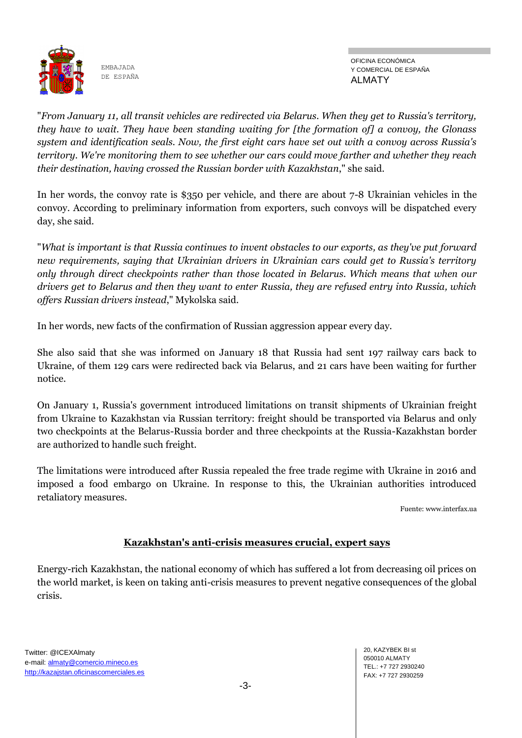

OFICINA ECONÓMICA Y COMERCIAL DE ESPAÑA ALMATY

"*From January 11, all transit vehicles are redirected via Belarus. When they get to Russia's territory, they have to wait. They have been standing waiting for [the formation of] a convoy, the Glonass system and identification seals. Now, the first eight cars have set out with a convoy across Russia's territory. We're monitoring them to see whether our cars could move farther and whether they reach their destination, having crossed the Russian border with Kazakhstan*," she said.

In her words, the convoy rate is \$350 per vehicle, and there are about 7-8 Ukrainian vehicles in the convoy. According to preliminary information from exporters, such convoys will be dispatched every day, she said.

"*What is important is that Russia continues to invent obstacles to our exports, as they've put forward new requirements, saying that Ukrainian drivers in Ukrainian cars could get to Russia's territory only through direct checkpoints rather than those located in Belarus. Which means that when our drivers get to Belarus and then they want to enter Russia, they are refused entry into Russia, which offers Russian drivers instead*," Mykolska said.

In her words, new facts of the confirmation of Russian aggression appear every day.

She also said that she was informed on January 18 that Russia had sent 197 railway cars back to Ukraine, of them 129 cars were redirected back via Belarus, and 21 cars have been waiting for further notice.

On January 1, Russia's government introduced limitations on transit shipments of Ukrainian freight from Ukraine to Kazakhstan via Russian territory: freight should be transported via Belarus and only two checkpoints at the Belarus-Russia border and three checkpoints at the Russia-Kazakhstan border are authorized to handle such freight.

The limitations were introduced after Russia repealed the free trade regime with Ukraine in 2016 and imposed a food embargo on Ukraine. In response to this, the Ukrainian authorities introduced retaliatory measures.

Fuente[: www.interfax.u](https://www.interfax.kz/)a

# **Kazakhstan's anti-crisis measures crucial, expert says**

Energy-rich Kazakhstan, the national economy of which has suffered a lot from decreasing oil prices on the world market, is keen on taking anti-crisis measures to prevent negative consequences of the global crisis.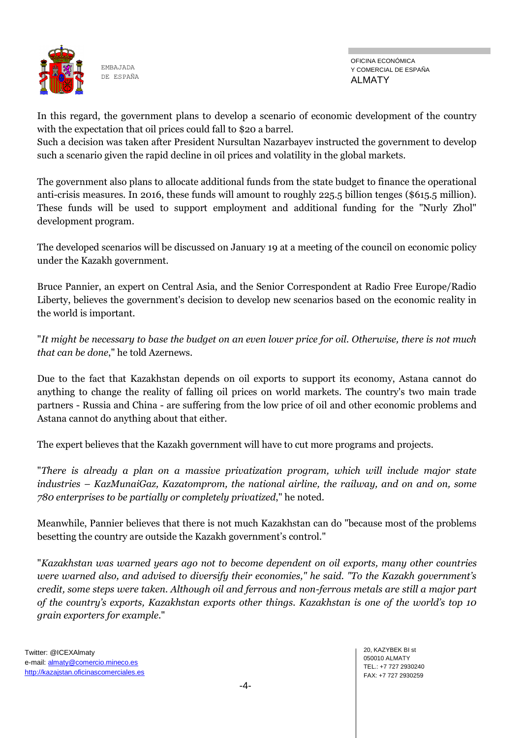

In this regard, the government plans to develop a scenario of economic development of the country with the expectation that oil prices could fall to \$20 a barrel.

Such a decision was taken after President Nursultan Nazarbayev instructed the government to develop such a scenario given the rapid decline in oil prices and volatility in the global markets.

The government also plans to allocate additional funds from the state budget to finance the operational anti-crisis measures. In 2016, these funds will amount to roughly 225.5 billion tenges (\$615.5 million). These funds will be used to support employment and additional funding for the "Nurly Zhol" development program.

The developed scenarios will be discussed on January 19 at a meeting of the council on economic policy under the Kazakh government.

Bruce Pannier, an expert on Central Asia, and the Senior Correspondent at Radio Free Europe/Radio Liberty, believes the government's decision to develop new scenarios based on the economic reality in the world is important.

"*It might be necessary to base the budget on an even lower price for oil. Otherwise, there is not much that can be done*," he told Azernews.

Due to the fact that Kazakhstan depends on oil exports to support its economy, Astana cannot do anything to change the reality of falling oil prices on world markets. The country's two main trade partners - Russia and China - are suffering from the low price of oil and other economic problems and Astana cannot do anything about that either.

The expert believes that the Kazakh government will have to cut more programs and projects.

"*There is already a plan on a massive privatization program, which will include major state industries – KazMunaiGaz, Kazatomprom, the national airline, the railway, and on and on, some 780 enterprises to be partially or completely privatized*," he noted.

Meanwhile, Pannier believes that there is not much Kazakhstan can do "because most of the problems besetting the country are outside the Kazakh government's control."

"*Kazakhstan was warned years ago not to become dependent on oil exports, many other countries were warned also, and advised to diversify their economies," he said. "To the Kazakh government's credit, some steps were taken. Although oil and ferrous and non-ferrous metals are still a major part of the country's exports, Kazakhstan exports other things. Kazakhstan is one of the world's top 10 grain exporters for example*."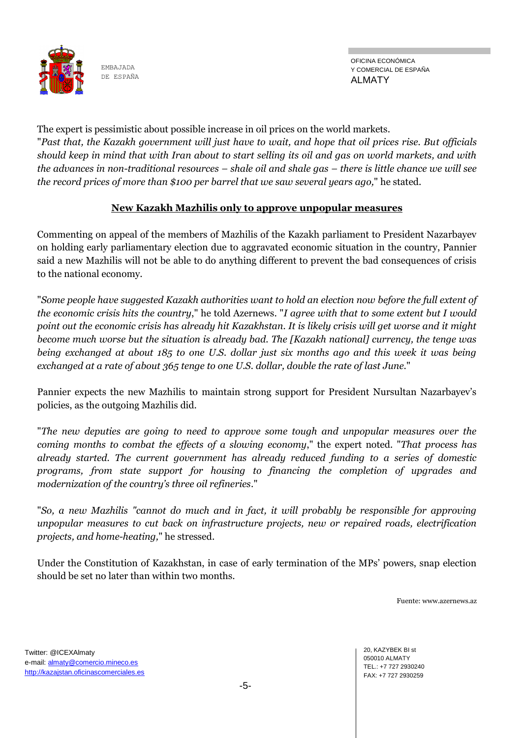

OFICINA ECONÓMICA Y COMERCIAL DE ESPAÑA ALMATY

The expert is pessimistic about possible increase in oil prices on the world markets. "*Past that, the Kazakh government will just have to wait, and hope that oil prices rise. But officials should keep in mind that with Iran about to start selling its oil and gas on world markets, and with the advances in non-traditional resources – shale oil and shale gas – there is little chance we will see the record prices of more than \$100 per barrel that we saw several years ago,*" he stated.

# **New Kazakh Mazhilis only to approve unpopular measures**

Commenting on appeal of the members of Mazhilis of the Kazakh parliament to President Nazarbayev on holding early parliamentary election due to aggravated economic situation in the country, Pannier said a new Mazhilis will not be able to do anything different to prevent the bad consequences of crisis to the national economy.

"*Some people have suggested Kazakh authorities want to hold an election now before the full extent of the economic crisis hits the country*," he told Azernews. "*I agree with that to some extent but I would point out the economic crisis has already hit Kazakhstan. It is likely crisis will get worse and it might become much worse but the situation is already bad. The [Kazakh national] currency, the tenge was being exchanged at about 185 to one U.S. dollar just six months ago and this week it was being exchanged at a rate of about 365 tenge to one U.S. dollar, double the rate of last June*."

Pannier expects the new Mazhilis to maintain strong support for President Nursultan Nazarbayev's policies, as the outgoing Mazhilis did.

"*The new deputies are going to need to approve some tough and unpopular measures over the coming months to combat the effects of a slowing economy*," the expert noted. "*That process has already started. The current government has already reduced funding to a series of domestic programs, from state support for housing to financing the completion of upgrades and modernization of the country's three oil refineries*."

"*So, a new Mazhilis "cannot do much and in fact, it will probably be responsible for approving unpopular measures to cut back on infrastructure projects, new or repaired roads, electrification projects, and home-heating,*" he stressed.

Under the Constitution of Kazakhstan, in case of early termination of the MPs' powers, snap election should be set no later than within two months.

Fuente: www.azernews.az

Twitter: @ICEXAlmaty e-mail: almaty@comercio.mineco.es http://kazajstan.oficinascomerciales.es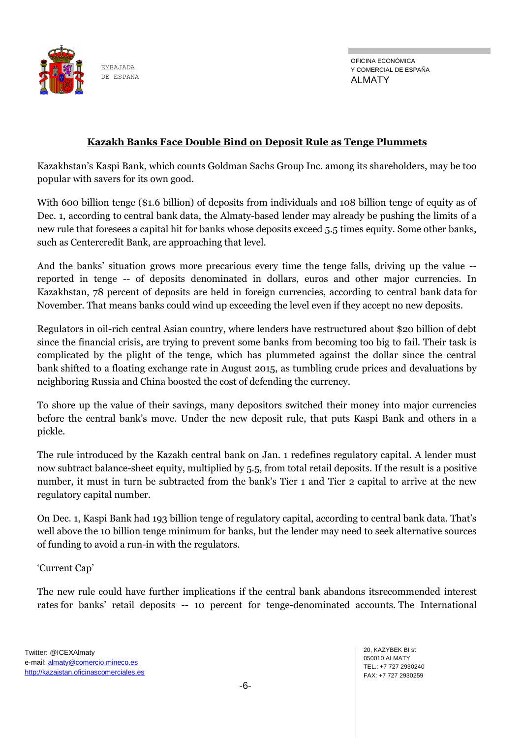

OFICINA ECONÓMICA Y COMERCIAL DE ESPAÑA ALMATY

## **Kazakh Banks Face Double Bind on Deposit Rule as Tenge Plummets**

Kazakhstan's Kaspi Bank, which counts Goldman Sachs Group Inc. among its shareholders, may be too popular with savers for its own good.

With 600 billion tenge (\$1.6 billion) of deposits from individuals and 108 billion tenge of equity as of Dec. 1, according to central bank data, the Almaty-based lender may already be pushing the limits of a new rule that foresees a capital hit for banks whose deposits exceed 5.5 times equity. Some other banks, such as Centercredit Bank, are approaching that level.

And the banks' situation grows more precarious every time the tenge falls, driving up the value - reported in tenge -- of deposits denominated in dollars, euros and other major currencies. In Kazakhstan, 78 percent of deposits are held in foreign currencies, according to central bank data for November. That means banks could wind up exceeding the level even if they accept no new deposits.

Regulators in oil-rich central Asian country, where lenders have restructured about \$20 billion of debt since the financial crisis, are trying to prevent some banks from becoming too big to fail. Their task is complicated by the plight of the tenge, which has plummeted against the dollar since the central bank shifted to a floating exchange rate in August 2015, as tumbling crude prices and devaluations by neighboring Russia and China boosted the cost of defending the currency.

To shore up the value of their savings, many depositors switched their money into major currencies before the central bank's move. Under the new deposit rule, that puts Kaspi Bank and others in a pickle.

The rule introduced by the Kazakh central bank on Jan. 1 redefines regulatory capital. A lender must now subtract balance-sheet equity, multiplied by 5.5, from total retail deposits. If the result is a positive number, it must in turn be subtracted from the bank's Tier 1 and Tier 2 capital to arrive at the new regulatory capital number.

On Dec. 1, Kaspi Bank had 193 billion tenge of regulatory capital, according to central bank data. That's well above the 10 billion tenge minimum for banks, but the lender may need to seek alternative sources of funding to avoid a run-in with the regulators.

'Current Cap'

The new rule could have further implications if the central bank abandons itsrecommended interest rates for banks' retail deposits -- 10 percent for tenge-denominated accounts. The International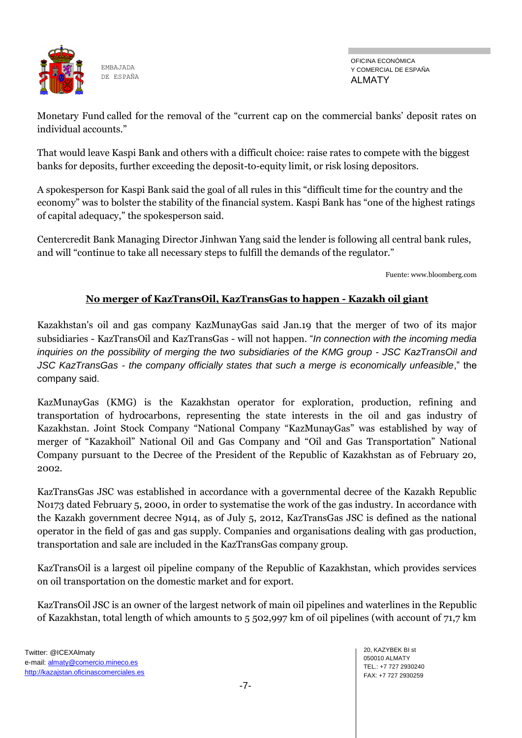

OFICINA ECONÓMICA Y COMERCIAL DE ESPAÑA ALMATY

Monetary Fund called for the removal of the "current cap on the commercial banks' deposit rates on individual accounts."

That would leave Kaspi Bank and others with a difficult choice: raise rates to compete with the biggest banks for deposits, further exceeding the deposit-to-equity limit, or risk losing depositors.

A spokesperson for Kaspi Bank said the goal of all rules in this "difficult time for the country and the economy" was to bolster the stability of the financial system. Kaspi Bank has "one of the highest ratings of capital adequacy," the spokesperson said.

Centercredit Bank Managing Director Jinhwan Yang said the lender is following all central bank rules, and will "continue to take all necessary steps to fulfill the demands of the regulator."

Fuente: www.bloomberg.com

# **No merger of KazTransOil, KazTransGas to happen - Kazakh oil giant**

Kazakhstan's oil and gas company KazMunayGas said Jan.19 that the merger of two of its major subsidiaries - KazTransOil and KazTransGas - will not happen. "*In connection with the incoming media inquiries on the possibility of merging the two subsidiaries of the KMG group - JSC KazTransOil and JSC KazTransGas - the company officially states that such a merge is economically unfeasible*," the company said.

KazMunayGas (KMG) is the Kazakhstan operator for exploration, production, refining and transportation of hydrocarbons, representing the state interests in the oil and gas industry of Kazakhstan. Joint Stock Company "National Company "KazMunayGas" was established by way of merger of "Kazakhoil" National Oil and Gas Company and "Oil and Gas Transportation" National Company pursuant to the Decree of the President of the Republic of Kazakhstan as of February 20, 2002.

KazTransGas JSC was established in accordance with a governmental decree of the Kazakh Republic No173 dated February 5, 2000, in order to systematise the work of the gas industry. In accordance with the Kazakh government decree N914, as of July 5, 2012, KazTransGas JSC is defined as the national operator in the field of gas and gas supply. Companies and organisations dealing with gas production, transportation and sale are included in the KazTransGas company group.

KazTransOil is a largest oil pipeline company of the Republic of Kazakhstan, which provides services on oil transportation on the domestic market and for export.

KazTransOil JSC is an owner of the largest network of main oil pipelines and waterlines in the Republic of Kazakhstan, total length of which amounts to 5 502,997 km of oil pipelines (with account of 71,7 km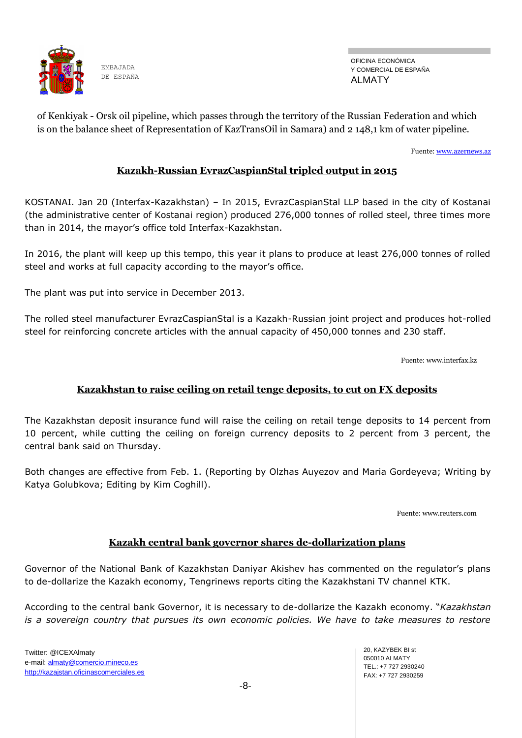

OFICINA ECONÓMICA Y COMERCIAL DE ESPAÑA ALMATY

of Kenkiyak - Orsk oil pipeline, which passes through the territory of the Russian Federation and which is on the balance sheet of Representation of KazTransOil in Samara) and 2 148,1 km of water pipeline.

Fuente[: www.azernews.az](http://www.azernews.az/)

# **Kazakh-Russian EvrazCaspianStal tripled output in 2015**

KOSTANAI. Jan 20 (Interfax-Kazakhstan) – In 2015, EvrazCaspianStal LLP based in the city of Kostanai (the administrative center of Kostanai region) produced 276,000 tonnes of rolled steel, three times more than in 2014, the mayor's office told Interfax-Kazakhstan.

In 2016, the plant will keep up this tempo, this year it plans to produce at least 276,000 tonnes of rolled steel and works at full capacity according to the mayor's office.

The plant was put into service in December 2013.

The rolled steel manufacturer EvrazCaspianStal is a Kazakh-Russian joint project and produces hot-rolled steel for reinforcing concrete articles with the annual capacity of 450,000 tonnes and 230 staff.

Fuente[: www.interfax.k](https://www.interfax.kz/)z

## **Kazakhstan to raise ceiling on retail tenge deposits, to cut on FX deposits**

The Kazakhstan deposit insurance fund will raise the ceiling on retail tenge deposits to 14 percent from 10 percent, while cutting the ceiling on foreign currency deposits to 2 percent from 3 percent, the central bank said on Thursday.

Both changes are effective from Feb. 1. (Reporting by Olzhas Auyezov and Maria Gordeyeva; Writing by Katya Golubkova; Editing by Kim Coghill).

Fuente: www.reuters.com

#### **Kazakh central bank governor shares de-dollarization plans**

Governor of the National Bank of Kazakhstan Daniyar Akishev has commented on the regulator's plans to de-dollarize the Kazakh economy, [Tengrinews](http://en.tengrinews.kz/) reports citing the Kazakhstani TV channel [KTK.](http://www.ktk.kz/)

According to the central bank Governor, it is necessary to de-dollarize the Kazakh economy. "*Kazakhstan is a sovereign country that pursues its own economic policies. We have to take measures to restore*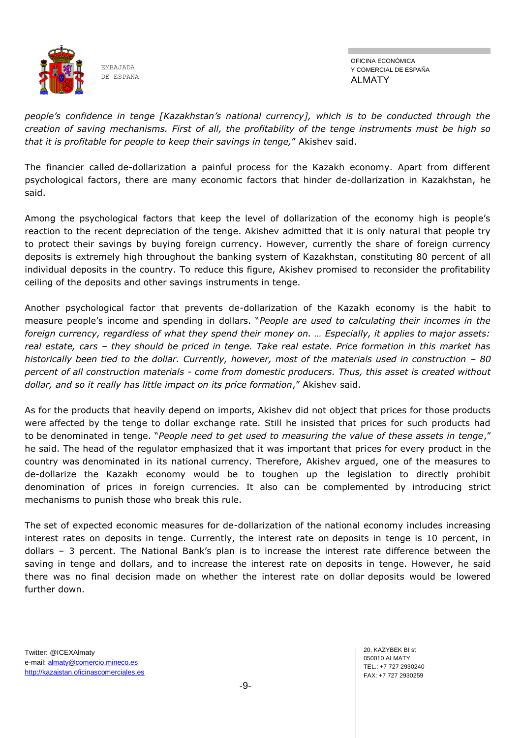

OFICINA ECONÓMICA Y COMERCIAL DE ESPAÑA ALMATY

*people's confidence in tenge [Kazakhstan's national currency], which is to be conducted through the creation of saving mechanisms. First of all, the profitability of the tenge instruments must be high so that it is profitable for people to keep their savings in tenge,*" Akishev said.

The financier called de-dollarization a painful process for the Kazakh economy. Apart from different psychological factors, there are many economic factors that hinder de-dollarization in Kazakhstan, he said.

Among the psychological factors that keep the level of dollarization of the economy high is people's reaction to the recent depreciation of the tenge. Akishev admitted that it is only natural that people try to protect their savings by buying foreign currency. However, currently the share of foreign currency deposits is extremely high throughout the banking system of Kazakhstan, constituting 80 percent of all individual deposits in the country. To reduce this figure, Akishev promised to reconsider the profitability ceiling of the deposits and other savings instruments in tenge.

Another psychological factor that prevents de-dollarization of the Kazakh economy is the habit to measure people's income and spending in dollars. "*People are used to calculating their incomes in the foreign currency, regardless of what they spend their money on. … Especially, it applies to major assets: real estate, cars – they should be priced in tenge. Take real estate. Price formation in this market has historically been tied to the dollar. Currently, however, most of the materials used in construction - 80 percent of all construction materials - come from domestic producers. Thus, this asset is created without dollar, and so it really has little impact on its price formation*," Akishev said.

As for the products that heavily depend on imports, Akishev did not object that prices for those products were affected by the tenge to dollar exchange rate. Still he insisted that prices for such products had to be denominated in tenge. "*People need to get used to measuring the value of these assets in tenge*," he said. The head of the regulator emphasized that it was important that prices for every product in the country was denominated in its national currency. Therefore, Akishev argued, one of the measures to de-dollarize the Kazakh economy would be to toughen up the legislation to directly prohibit denomination of prices in foreign currencies. It also can be complemented by introducing strict mechanisms to punish those who break this rule.

The set of expected economic measures for de-dollarization of the national economy includes increasing interest rates on deposits in tenge. Currently, the interest rate on deposits in tenge is 10 percent, in dollars – 3 percent. The National Bank's plan is to increase the interest rate difference between the saving in tenge and dollars, and to increase the interest rate on deposits in tenge. However, he said there was no final decision made on whether the interest rate on dollar deposits would be lowered further down.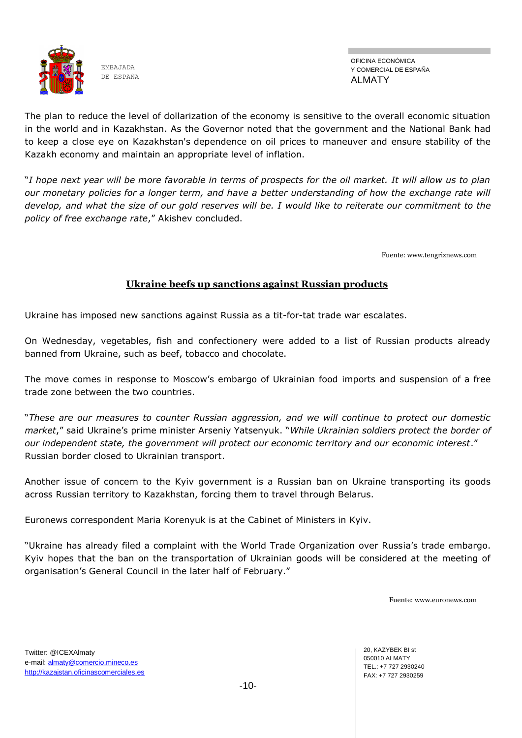

OFICINA ECONÓMICA Y COMERCIAL DE ESPAÑA ALMATY

The plan to reduce the level of dollarization of the economy is sensitive to the overall economic situation in the world and in Kazakhstan. As the Governor noted that the government and the National Bank had to keep a close eye on Kazakhstan's dependence on oil prices to maneuver and ensure stability of the Kazakh economy and maintain an appropriate level of inflation.

"*I hope next year will be more favorable in terms of prospects for the oil market. It will allow us to plan our monetary policies for a longer term, and have a better understanding of how the exchange rate will develop, and what the size of our gold reserves will be. I would like to reiterate our commitment to the policy of free exchange rate*," Akishev concluded.

Fuente: www.tengriznews.com

# **[Ukraine beefs up sanctions](http://www.euronews.com/2016/01/20/ukraine-beefs-up-sanctions-against-russian-products/) against Russian products**

[Ukraine](http://www.euronews.com/tag/ukraine/) has imposed new sanctions against [Russia](http://www.euronews.com/tag/russia/) as a tit-for-tat trade war escalates.

On Wednesday, vegetables, fish and confectionery were added to a list of Russian products already banned from Ukraine, such as beef, tobacco and chocolate.

The move comes in response to Moscow's embargo of Ukrainian food imports and suspension of a free trade zone between the two countries.

"*These are our measures to counter Russian aggression, and we will continue to protect our domestic market*," said Ukraine's prime minister Arseniy Yatsenyuk. "*While Ukrainian soldiers protect the border of our independent state, the government will protect our economic territory and our economic interest*." Russian border closed to Ukrainian transport.

Another issue of concern to the Kyiv government is a Russian ban on Ukraine transporting its goods across Russian territory to Kazakhstan, forcing them to travel through Belarus.

Euronews correspondent Maria Korenyuk is at the Cabinet of Ministers in Kyiv.

"Ukraine has already filed a complaint with the World Trade Organization over Russia's trade embargo. Kyiv hopes that the ban on the transportation of Ukrainian goods will be considered at the meeting of organisation's General Council in the later half of February."

Fuente: www.euronews.com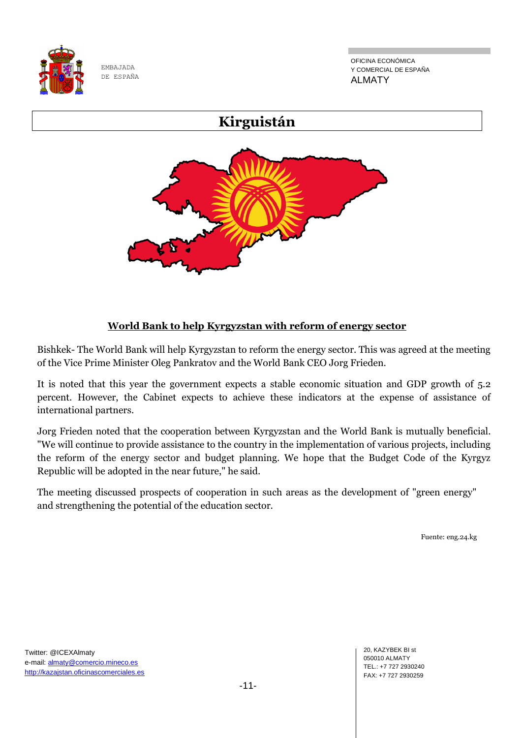

OFICINA ECONÓMICA Y COMERCIAL DE ESPAÑA ALMATY



# **World Bank to help Kyrgyzstan with reform of energy sector**

Bishkek- The World Bank will help Kyrgyzstan to reform the energy sector. This was agreed at the meeting of the Vice Prime Minister Oleg Pankratov and the World Bank CEO Jorg Frieden.

It is noted that this year the government expects a stable economic situation and GDP growth of 5.2 percent. However, the Cabinet expects to achieve these indicators at the expense of assistance of international partners.

Jorg Frieden noted that the cooperation between Kyrgyzstan and the World Bank is mutually beneficial. "We will continue to provide assistance to the country in the implementation of various projects, including the reform of the energy sector and budget planning. We hope that the Budget Code of the Kyrgyz Republic will be adopted in the near future," he said.

The meeting discussed prospects of cooperation in such areas as the development of "green energy" and strengthening the potential of the education sector.

Fuente: eng.24.kg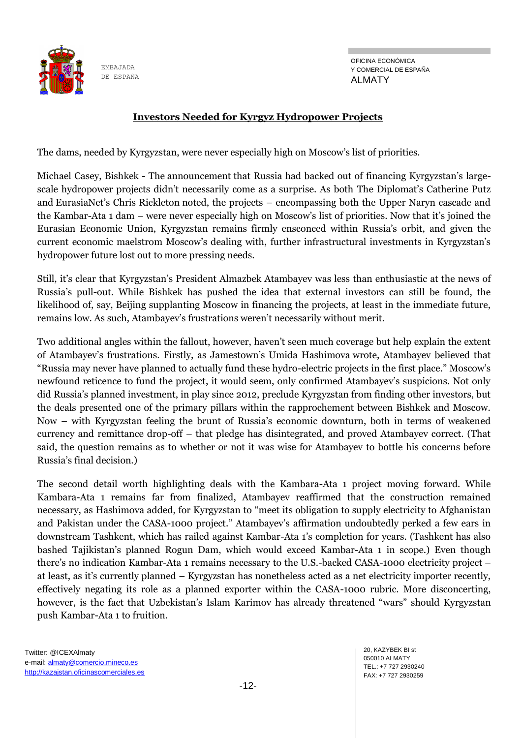

# **Investors Needed for Kyrgyz Hydropower Projects**

The dams, needed by Kyrgyzstan, were never especially high on Moscow's list of priorities.

Michael Casey, Bishkek - The [announcement](http://thediplomat.com/2015/12/new-hyrdropower-project-partners-needed-in-kyrgyzstan/) that Russia had backed out of financing Kyrgyzstan's largescale hydropower projects didn't necessarily come as a surprise. As both The Diplomat's Catherine Putz and EurasiaNet's Chris Rickleton [noted,](http://www.eurasianet.org/node/72101) the projects – encompassing both the Upper Naryn cascade and the Kambar-Ata 1 dam – were never especially high on Moscow's list of priorities. Now that it's joined the Eurasian Economic Union, Kyrgyzstan remains firmly ensconced within Russia's orbit, and given the current economic maelstrom Moscow's dealing with, further infrastructural investments in Kyrgyzstan's hydropower future lost out to more pressing needs.

Still, it's clear that Kyrgyzstan's President Almazbek Atambayev was less than enthusiastic at the news of Russia's pull-out. While Bishkek has pushed the idea that external investors can still be found, the likelihood of, say, Beijing supplanting Moscow in financing the projects, at least in the immediate future, remains low. As such, Atambayev's frustrations weren't necessarily without merit.

Two additional angles within the fallout, however, haven't seen much coverage but help explain the extent of Atambayev's frustrations. Firstly, as Jamestown's Umida Hashimova [wrote,](http://www.jamestown.org/programs/edm/single/?tx_ttnews%5Btt_news%5D=44990&tx_ttnews%5BbackPid%5D=27&cHash=762c9a5e79de988bd5a489dabca78b29#.Vp1-XLPSlYd) Atambayev believed that "Russia may never have planned to actually fund these hydro-electric projects in the first place." Moscow's newfound reticence to fund the project, it would seem, only confirmed Atambayev's suspicions. Not only did Russia's planned investment, in play [since 2012,](http://www.eurasianet.org/node/65941) preclude Kyrgyzstan from finding other investors, but the deals presented one of the primary pillars within the rapprochement between Bishkek and Moscow. Now – with Kyrgyzstan feeling the brunt of Russia's economic downturn, both in terms of weakened currency and remittance drop-off – that pledge has disintegrated, and proved Atambayev correct. (That said, the question remains as to whether or not it was wise for Atambayev to bottle his concerns before Russia's final decision.)

The second detail worth highlighting deals with the Kambara-Ata 1 project moving forward. While Kambara-Ata 1 remains far from finalized, Atambayev reaffirmed that the construction remained necessary, as Hashimova added, for Kyrgyzstan to "meet its obligation to supply electricity to Afghanistan and Pakistan under the CASA-1000 project." Atambayev's affirmation undoubtedly perked a few ears in downstream Tashkent, which has railed against Kambar-Ata 1's completion for years. (Tashkent has also bashed Tajikistan's planned Rogun Dam, which would exceed Kambar-Ata 1 in scope.) Even though there's no indication Kambar-Ata 1 remains necessary to the [U.S.-backed CASA-1000 electricity project](http://thediplomat.com/2016/01/casa-1000-finalized-or-fantasy/) – at least, as it's currently planned – Kyrgyzstan has nonetheless acted as a net electricity importer recently, effectively negating its role as a planned exporter within the CASA-1000 rubric. More disconcerting, however, is the fact that Uzbekistan's Islam Karimov has already threatened "[wars](http://www.reuters.com/article/centralasia-water-idUSL6E8K793I20120907)" should Kyrgyzstan push Kambar-Ata 1 to fruition.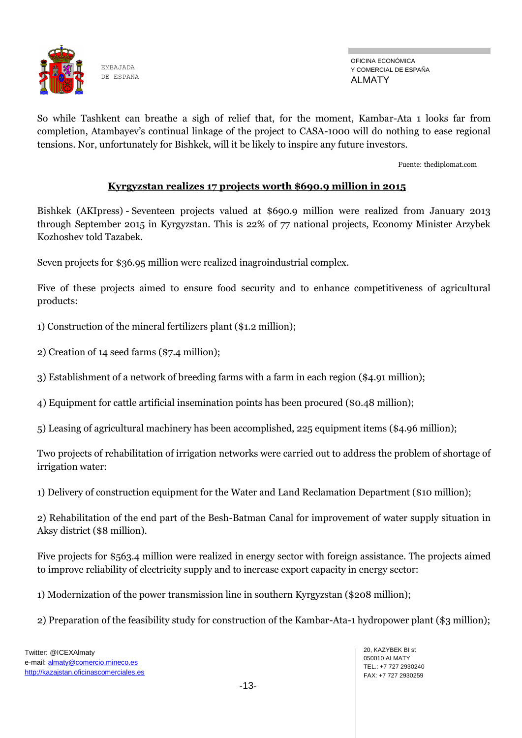

OFICINA ECONÓMICA Y COMERCIAL DE ESPAÑA ALMATY

So while Tashkent can breathe a sigh of relief that, for the moment, Kambar-Ata 1 looks far from completion, Atambayev's continual linkage of the project to CASA-1000 will do nothing to ease regional tensions. Nor, unfortunately for Bishkek, will it be likely to inspire any future investors.

Fuente: thediplomat.com

## **Kyrgyzstan realizes 17 projects worth \$690.9 million in 2015**

Bishkek (AKIpress) - Seventeen projects valued at \$690.9 million were realized from January 2013 through September 2015 in Kyrgyzstan. This is 22% of 77 national projects, Economy Minister Arzybek Kozhoshev told Tazabek.

Seven projects for \$36.95 million were realized inagroindustrial complex.

Five of these projects aimed to ensure food security and to enhance competitiveness of agricultural products:

1) Construction of the mineral fertilizers plant (\$1.2 million);

2) Creation of 14 seed farms (\$7.4 million);

3) Establishment of a network of breeding farms with a farm in each region (\$4.91 million);

4) Equipment for cattle artificial insemination points has been procured (\$0.48 million);

5) Leasing of agricultural machinery has been accomplished, 225 equipment items (\$4.96 million);

Two projects of rehabilitation of irrigation networks were carried out to address the problem of shortage of irrigation water:

1) Delivery of construction equipment for the Water and Land Reclamation Department (\$10 million);

2) Rehabilitation of the end part of the Besh-Batman Canal for improvement of water supply situation in Aksy district (\$8 million).

Five projects for \$563.4 million were realized in energy sector with foreign assistance. The projects aimed to improve reliability of electricity supply and to increase export capacity in energy sector:

1) Modernization of the power transmission line in southern Kyrgyzstan (\$208 million);

2) Preparation of the feasibility study for construction of the Kambar-Ata-1 hydropower plant (\$3 million);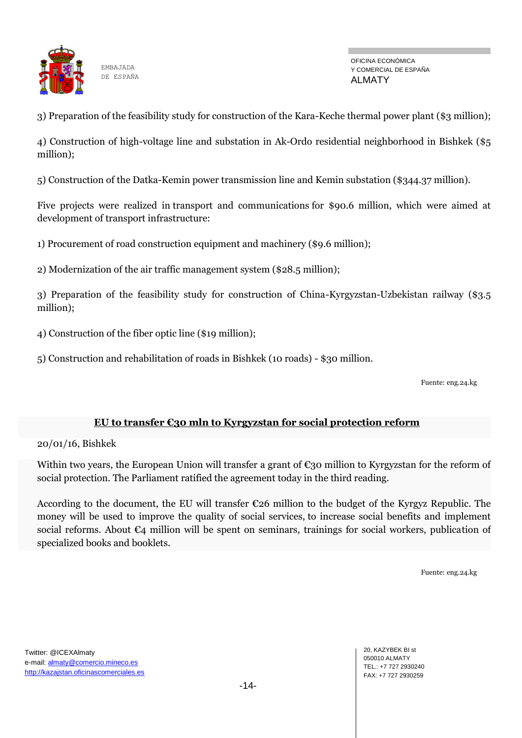

3) Preparation of the feasibility study for construction of the Kara-Keche thermal power plant (\$3 million);

4) Construction of high-voltage line and substation in Ak-Ordo residential neighborhood in Bishkek (\$5 million);

5) Construction of the Datka-Kemin power transmission line and Kemin substation (\$344.37 million).

Five projects were realized in transport and communications for \$90.6 million, which were aimed at development of transport infrastructure:

1) Procurement of road construction equipment and machinery (\$9.6 million);

2) Modernization of the air traffic management system (\$28.5 million);

3) Preparation of the feasibility study for construction of China-Kyrgyzstan-Uzbekistan railway (\$3.5 million);

4) Construction of the fiber optic line (\$19 million);

5) Construction and rehabilitation of roads in Bishkek (10 roads) - \$30 million.

Fuente: eng.24.kg

## **EU to transfer €30 mln to Kyrgyzstan for social protection reform**

20/01/16, Bishkek

Within two years, the European Union will transfer a grant of €30 million to Kyrgyzstan for the reform of social protection. The Parliament ratified the agreement today in the third reading.

According to the document, the EU will transfer  $\epsilon$ 26 million to the budget of the Kyrgyz Republic. The money will be used to improve the quality of social services, to increase social benefits and implement social reforms. About  $\mathfrak{C}_4$  million will be spent on seminars, trainings for social workers, publication of specialized books and booklets.

Fuente: eng.24.kg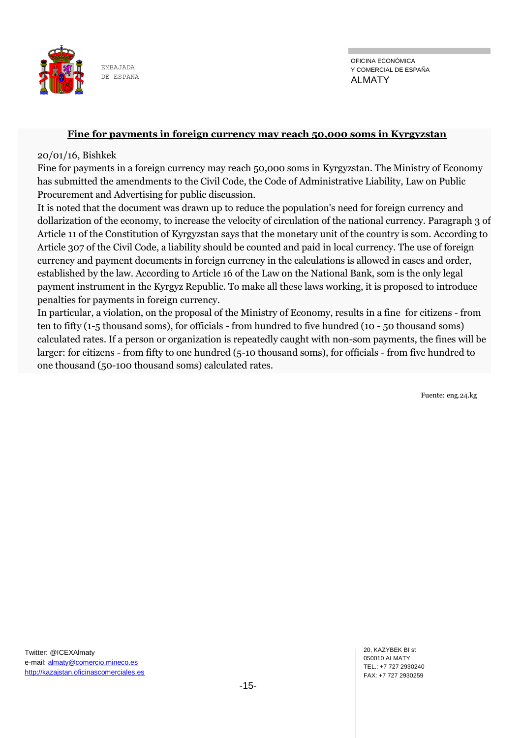

OFICINA ECONÓMICA Y COMERCIAL DE ESPAÑA ALMATY

#### **Fine for payments in foreign currency may reach 50,000 soms in Kyrgyzstan**

#### 20/01/16, Bishkek

Fine for payments in a foreign currency may reach 50,000 soms in Kyrgyzstan. The Ministry of Economy has submitted the amendments to the Civil Code, the Code of Administrative Liability, Law on Public Procurement and Advertising for public discussion.

It is noted that the document was drawn up to reduce the population's need for foreign currency and dollarization of the economy, to increase the velocity of circulation of the national currency. Paragraph 3 of Article 11 of the Constitution of Kyrgyzstan says that the monetary unit of the country is som. According to Article 307 of the Civil Code, a liability should be counted and paid in local currency. The use of foreign currency and payment documents in foreign currency in the calculations is allowed in cases and order, established by the law. According to Article 16 of the Law on the National Bank, som is the only legal payment instrument in the Kyrgyz Republic. To make all these laws working, it is proposed to introduce penalties for payments in foreign currency.

In particular, a violation, on the proposal of the Ministry of Economy, results in a fine for citizens - from ten to fifty (1-5 thousand soms), for officials - from hundred to five hundred (10 - 50 thousand soms) calculated rates. If a person or organization is repeatedly caught with non-som payments, the fines will be larger: for citizens - from fifty to one hundred (5-10 thousand soms), for officials - from five hundred to one thousand (50-100 thousand soms) calculated rates.

Fuente: eng.24.kg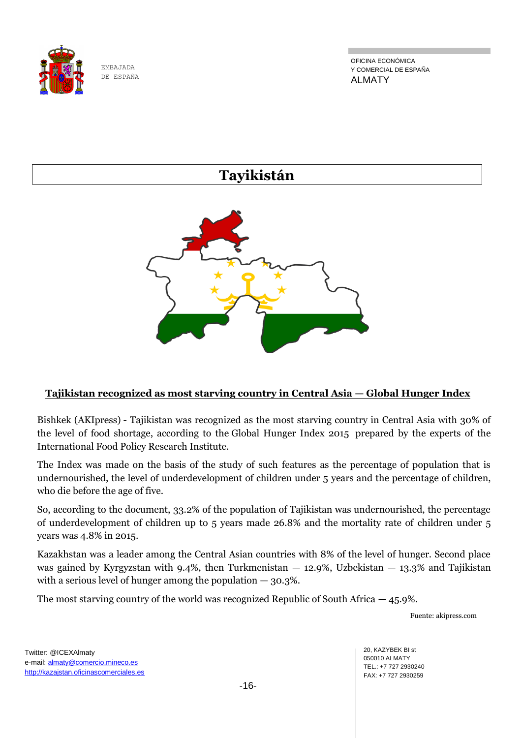

OFICINA ECONÓMICA Y COMERCIAL DE ESPAÑA ALMATY

# **Tayikistán**



# **Tajikistan recognized as most starving country in Central Asia — Global Hunger Index**

Bishkek (AKIpress) - Tajikistan was recognized as the most starving country in Central Asia with 30% of the level of food shortage, according to the [Global Hunger Index 2015](http://ghi.ifpri.org/) prepared by the experts of the International Food Policy Research Institute.

The Index was made on the basis of the study of such features as the percentage of population that is undernourished, the level of underdevelopment of children under 5 years and the percentage of children, who die before the age of five.

So, according to the document, 33.2% of the population of Tajikistan was undernourished, the percentage of underdevelopment of children up to 5 years made 26.8% and the mortality rate of children under 5 years was 4.8% in 2015.

Kazakhstan was a leader among the Central Asian countries with 8% of the level of hunger. Second place was gained by Kyrgyzstan with 9.4%, then Turkmenistan  $-$  12.9%, Uzbekistan  $-$  13.3% and Tajikistan with a serious level of hunger among the population  $-30.3\%$ .

The most starving country of the world was recognized Republic of South Africa  $-45.9\%$ .

Fuente: akipress.com

Twitter: @ICEXAlmaty e-mail: almaty@comercio.mineco.es http://kazajstan.oficinascomerciales.es

-16-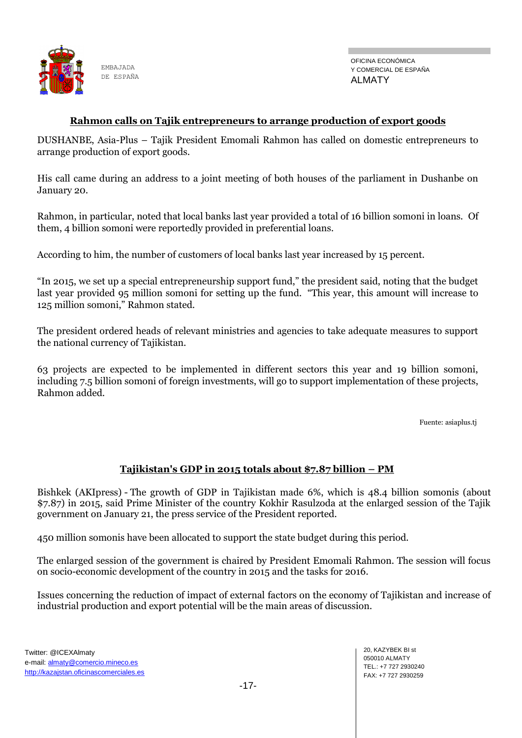

#### **Rahmon calls on Tajik entrepreneurs to arrange production of export goods**

DUSHANBE, Asia-Plus – Tajik President Emomali Rahmon has called on domestic entrepreneurs to arrange production of export goods.

His call came during an address to a joint meeting of both houses of the parliament in Dushanbe on January 20.

Rahmon, in particular, noted that local banks last year provided a total of 16 billion somoni in loans. Of them, 4 billion somoni were reportedly provided in preferential loans.

According to him, the number of customers of local banks last year increased by 15 percent.

"In 2015, we set up a special entrepreneurship support fund," the president said, noting that the budget last year provided 95 million somoni for setting up the fund. "This year, this amount will increase to 125 million somoni," Rahmon stated.

The president ordered heads of relevant ministries and agencies to take adequate measures to support the national currency of Tajikistan.

63 projects are expected to be implemented in different sectors this year and 19 billion somoni, including 7.5 billion somoni of foreign investments, will go to support implementation of these projects, Rahmon added.

Fuente: asiaplus.tj

## **Tajikistan's GDP in 2015 totals about \$7.87 billion – PM**

Bishkek (AKIpress) - The growth of GDP in Tajikistan made 6%, which is 48.4 billion somonis (about \$7.87) in 2015, said Prime Minister of the country Kokhir Rasulzoda at the enlarged session of the Tajik government on January 21, the press service of the President reported.

450 million somonis have been allocated to support the state budget during this period.

The enlarged session of the government is chaired by President Emomali Rahmon. The session will focus on socio-economic development of the country in 2015 and the tasks for 2016.

Issues concerning the reduction of impact of external factors on the economy of Tajikistan and increase of industrial production and export potential will be the main areas of discussion.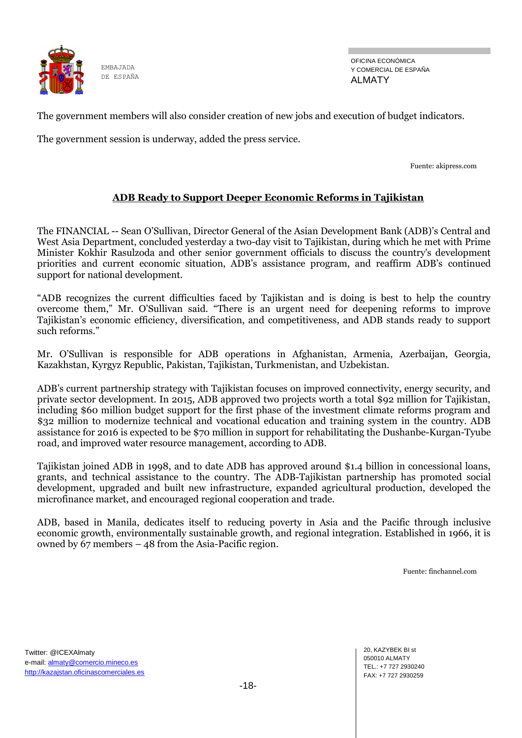

OFICINA ECONÓMICA Y COMERCIAL DE ESPAÑA ALMATY

The government members will also consider creation of new jobs and execution of budget indicators.

The government session is underway, added the press service.

Fuente: akipress.com

# **ADB Ready to Support Deeper Economic Reforms in Tajikistan**

The FINANCIAL -- Sean O'Sullivan, Director General of the Asian Development Bank (ADB)'s Central and West Asia Department, concluded yesterday a two-day visit to Tajikistan, during which he met with Prime Minister Kokhir Rasulzoda and other senior government officials to discuss the country's development priorities and current economic situation, ADB's assistance program, and reaffirm ADB's continued support for national development.

"ADB recognizes the current difficulties faced by Tajikistan and is doing is best to help the country overcome them," Mr. O'Sullivan said. "There is an urgent need for deepening reforms to improve Tajikistan's economic efficiency, diversification, and competitiveness, and ADB stands ready to support such reforms."

Mr. O'Sullivan is responsible for ADB operations in Afghanistan, Armenia, Azerbaijan, Georgia, Kazakhstan, Kyrgyz Republic, Pakistan, Tajikistan, Turkmenistan, and Uzbekistan.

ADB's current partnership strategy with Tajikistan focuses on improved connectivity, energy security, and private sector development. In 2015, ADB approved two projects worth a total \$92 million for Tajikistan, including \$60 million budget support for the first phase of the investment climate reforms program and \$32 million to modernize technical and vocational education and training system in the country. ADB assistance for 2016 is expected to be \$70 million in support for rehabilitating the Dushanbe-Kurgan-Tyube road, and improved water resource management, according to ADB.

Tajikistan joined ADB in 1998, and to date ADB has approved around \$1.4 billion in concessional loans, grants, and technical assistance to the country. The ADB-Tajikistan partnership has promoted social development, upgraded and built new infrastructure, expanded agricultural production, developed the microfinance market, and encouraged regional cooperation and trade.

ADB, based in Manila, dedicates itself to reducing poverty in Asia and the Pacific through inclusive economic growth, environmentally sustainable growth, and regional integration. Established in 1966, it is owned by 67 members – 48 from the Asia-Pacific region.

Fuente: finchannel.com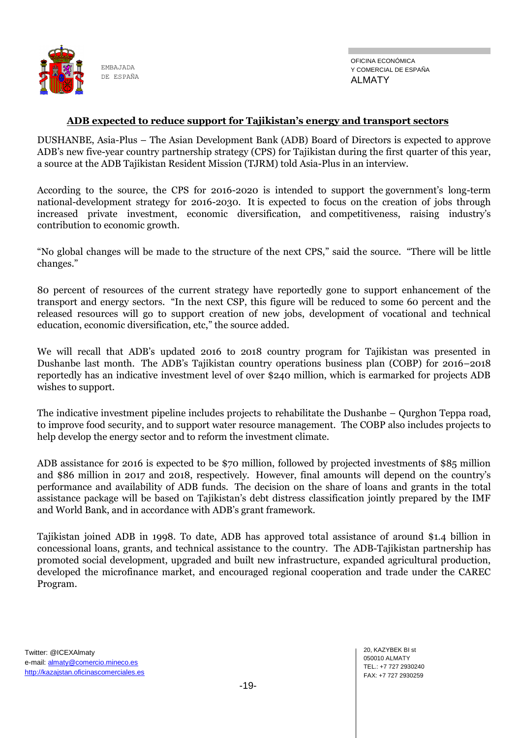

#### **ADB expected to reduce support for Tajikistan's energy and transport sectors**

DUSHANBE, Asia-Plus – The Asian Development Bank (ADB) Board of Directors is expected to approve ADB's new five-year country partnership strategy (CPS) for Tajikistan during the first quarter of this year, a source at the ADB Tajikistan Resident Mission (TJRM) told Asia-Plus in an interview.

According to the source, the CPS for 2016-2020 is intended to support the government's long-term national-development strategy for 2016-2030. It is expected to focus on the creation of jobs through increased private investment, economic diversification, and competitiveness, raising industry's contribution to economic growth.

"No global changes will be made to the structure of the next CPS," said the source. "There will be little changes."

80 percent of resources of the current strategy have reportedly gone to support enhancement of the transport and energy sectors. "In the next CSP, this figure will be reduced to some 60 percent and the released resources will go to support creation of new jobs, development of vocational and technical education, economic diversification, etc," the source added.

We will recall that ADB's updated 2016 to 2018 country program for Tajikistan was presented in Dushanbe last month. The ADB's Tajikistan country operations business plan (COBP) for 2016–2018 reportedly has an indicative investment level of over \$240 million, which is earmarked for projects ADB wishes to support.

The indicative investment pipeline includes projects to rehabilitate the Dushanbe – Qurghon Teppa road, to improve food security, and to support water resource management. The COBP also includes projects to help develop the energy sector and to reform the investment climate.

ADB assistance for 2016 is expected to be \$70 million, followed by projected investments of \$85 million and \$86 million in 2017 and 2018, respectively. However, final amounts will depend on the country's performance and availability of ADB funds. The decision on the share of loans and grants in the total assistance package will be based on Tajikistan's debt distress classification jointly prepared by the IMF and World Bank, and in accordance with ADB's grant framework.

Tajikistan joined ADB in 1998. To date, ADB has approved total assistance of around \$1.4 billion in concessional loans, grants, and technical assistance to the country. The ADB-Tajikistan partnership has promoted social development, upgraded and built new infrastructure, expanded agricultural production, developed the microfinance market, and encouraged regional cooperation and trade under the CAREC Program.